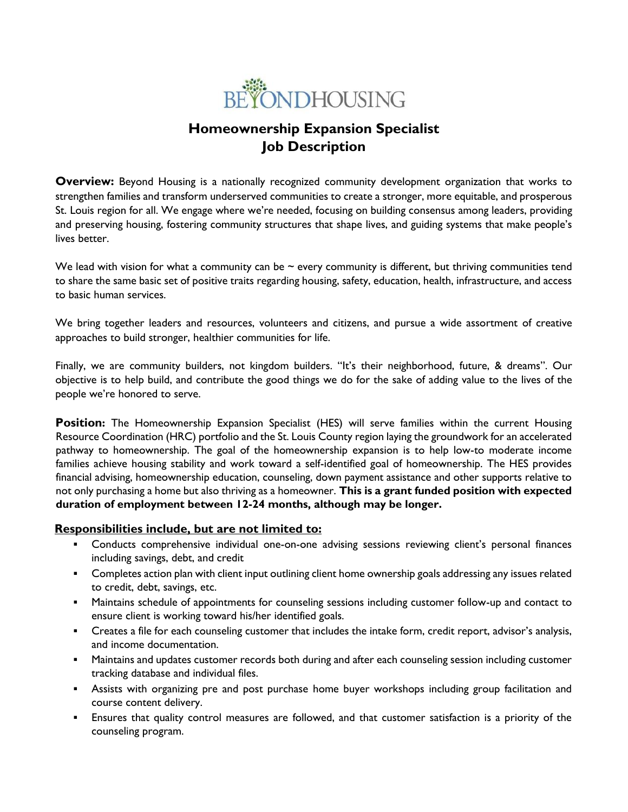

# **Homeownership Expansion Specialist Job Description**

**Overview:** Beyond Housing is a nationally recognized community development organization that works to strengthen families and transform underserved communities to create a stronger, more equitable, and prosperous St. Louis region for all. We engage where we're needed, focusing on building consensus among leaders, providing and preserving housing, fostering community structures that shape lives, and guiding systems that make people's lives better.

We lead with vision for what a community can be  $\sim$  every community is different, but thriving communities tend to share the same basic set of positive traits regarding housing, safety, education, health, infrastructure, and access to basic human services.

We bring together leaders and resources, volunteers and citizens, and pursue a wide assortment of creative approaches to build stronger, healthier communities for life.

Finally, we are community builders, not kingdom builders. "It's their neighborhood, future, & dreams". Our objective is to help build, and contribute the good things we do for the sake of adding value to the lives of the people we're honored to serve.

**Position:** The Homeownership Expansion Specialist (HES) will serve families within the current Housing Resource Coordination (HRC) portfolio and the St. Louis County region laying the groundwork for an accelerated pathway to homeownership. The goal of the homeownership expansion is to help low-to moderate income families achieve housing stability and work toward a self-identified goal of homeownership. The HES provides financial advising, homeownership education, counseling, down payment assistance and other supports relative to not only purchasing a home but also thriving as a homeowner. **This is a grant funded position with expected duration of employment between 12-24 months, although may be longer.** 

#### **Responsibilities include, but are not limited to:**

- Conducts comprehensive individual one-on-one advising sessions reviewing client's personal finances including savings, debt, and credit
- **Completes action plan with client input outlining client home ownership goals addressing any issues related** to credit, debt, savings, etc.
- **■** Maintains schedule of appointments for counseling sessions including customer follow-up and contact to ensure client is working toward his/her identified goals.
- Creates a file for each counseling customer that includes the intake form, credit report, advisor's analysis, and income documentation.
- **■** Maintains and updates customer records both during and after each counseling session including customer tracking database and individual files.
- **EXEL Assists with organizing pre and post purchase home buyer workshops including group facilitation and** course content delivery.
- Ensures that quality control measures are followed, and that customer satisfaction is a priority of the counseling program.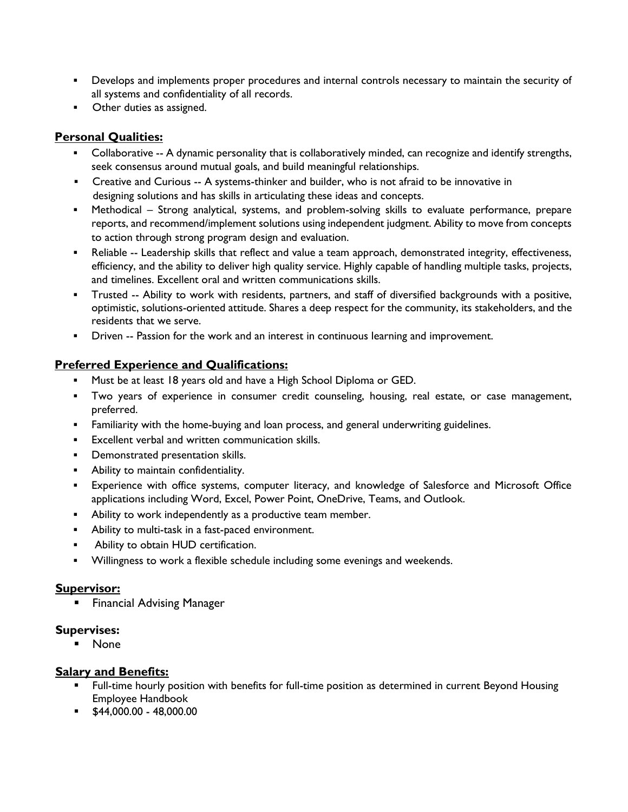- **•** Develops and implements proper procedures and internal controls necessary to maintain the security of all systems and confidentiality of all records.
- **•** Other duties as assigned.

## **Personal Qualities:**

- Collaborative -- A dynamic personality that is collaboratively minded, can recognize and identify strengths, seek consensus around mutual goals, and build meaningful relationships.
- Creative and Curious -- A systems-thinker and builder, who is not afraid to be innovative in designing solutions and has skills in articulating these ideas and concepts.
- Methodical Strong analytical, systems, and problem-solving skills to evaluate performance, prepare reports, and recommend/implement solutions using independent judgment. Ability to move from concepts to action through strong program design and evaluation.
- **•** Reliable -- Leadership skills that reflect and value a team approach, demonstrated integrity, effectiveness, efficiency, and the ability to deliver high quality service. Highly capable of handling multiple tasks, projects, and timelines. Excellent oral and written communications skills.
- Trusted -- Ability to work with residents, partners, and staff of diversified backgrounds with a positive, optimistic, solutions-oriented attitude. Shares a deep respect for the community, its stakeholders, and the residents that we serve.
- Driven -- Passion for the work and an interest in continuous learning and improvement.

## **Preferred Experience and Qualifications:**

- **■** Must be at least 18 years old and have a High School Diploma or GED.
- Two years of experience in consumer credit counseling, housing, real estate, or case management, preferred.
- Familiarity with the home-buying and loan process, and general underwriting guidelines.
- Excellent verbal and written communication skills.
- Demonstrated presentation skills.
- Ability to maintain confidentiality.
- **Experience with office systems, computer literacy, and knowledge of Salesforce and Microsoft Office** applications including Word, Excel, Power Point, OneDrive, Teams, and Outlook.
- Ability to work independently as a productive team member.
- Ability to multi-task in a fast-paced environment.
- Ability to obtain HUD certification.
- Willingness to work a flexible schedule including some evenings and weekends.

### **Supervisor:**

**Exercial Advising Manager** 

### **Supervises:**

▪ None

### **Salary and Benefits:**

- **EXECT FULL-LIME HOURDER 1** Full-time position as determined in current Beyond Housing Employee Handbook
- $\bullet$  \$44,000.00 48,000.00